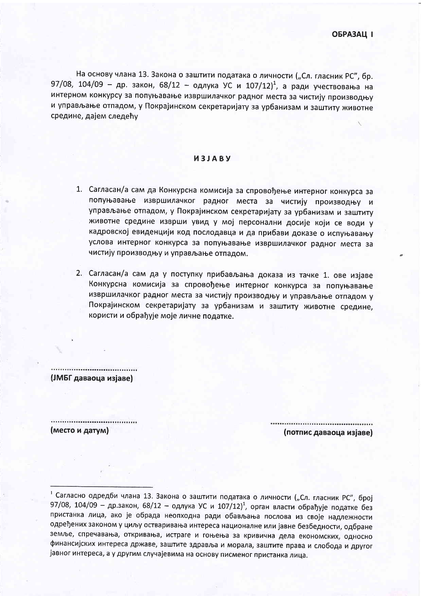На основу члана 13. Закона о заштити података о личности ("Сл. гласник РС", бр. 97/08, 104/09 - др. закон, 68/12 - одлука УС и 107/12)<sup>1</sup>, а ради учествовања на интерном конкурсу за попуњавање извршилачког радног места за чистију производњу и управљање отпадом, у Покрајинском секретаријату за урбанизам и заштиту животне средине, дајем следећу

## *M3JABY*

- 1. Сагласан/а сам да Конкурсна комисија за спровођење интерног конкурса за попуњавање извршилачког радног места за чистију производњу и управљање отпадом, у Покрајинском секретаријату за урбанизам и заштиту животне средине изврши увид у мој персонални досије који се води у кадровској евиденцији код послодавца и да прибави доказе о испуњавању услова интерног конкурса за попуњавање извршилачког радног места за чистију производњу и управљање отпадом.
- 2. Сагласан/а сам да у поступку прибављања доказа из тачке 1. ове изјаве Конкурсна комисија за спровођење интерног конкурса за попуњавање извршилачког радног места за чистију производњу и управљање отпадом у Покрајинском секретаријату за урбанизам и заштиту животне средине, користи и обрађује моје личне податке.

(ЈМБГ даваоца изјаве)

................................

(место и датум)

(потпис даваоца изјаве)

<sup>1</sup> Сагласно одредби члана 13. Закона о заштити података о личности ("Сл. гласник РС", број 97/08, 104/09 - др.закон, 68/12 - одлука УС и 107/12)<sup>1</sup>, орган власти обрађује податке без пристанка лица, ако је обрада неопходна ради обављања послова из своје надлежности одређених законом у циљу остваривања интереса националне или јавне безбедности, одбране земље, спречавања, откривања, истраге и гоњења за кривична дела економских, односно финансијских интереса државе, заштите здравља и морала, заштите права и слобода и другог јавног интереса, а у другим случајевима на основу писменог пристанка лица.